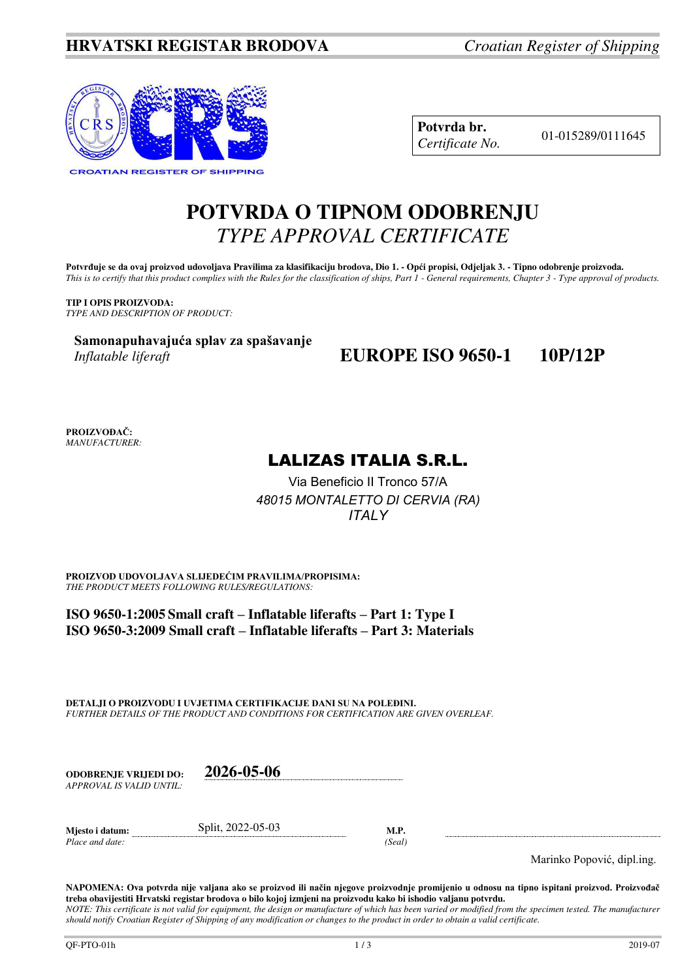

**Potvrda br.** 01-015289/0111645 *Certificate No.* 

# **POTVRDA O TIPNOM ODOBRENJU**  *TYPE APPROVAL CERTIFICATE*

Potvrđuje se da ovaj proizvod udovoljava Pravilima za klasifikaciju brodova, Dio 1. - Opći propisi, Odjeljak 3. - Tipno odobrenje proizvoda. *This is to certify that this product complies with the Rules for the classification of ships, Part 1 - General requirements, Chapter 3 - Type approval of products.* 

**TIP I OPIS PROIZVODA:** *TYPE AND DESCRIPTION OF PRODUCT:* 

**Samonapuhavajuća splav za spašavanje** *Inflatable liferaft* 

## **EUROPE ISO 9650-1 10P/12P**

**PROIZVOĐAČ:** *MANUFACTURER:*

## LALIZAS ITALIA S.R.L.

Via Beneficio II Tronco 57/A *48015 MONTALETTO DI CERVIA (RA) ITALY* 

**PROIZVOD UDOVOLJAVA SLIJEDEĆIM PRAVILIMA/PROPISIMA:** *THE PRODUCT MEETS FOLLOWING RULES/REGULATIONS:* 

**ISO 9650-1:2005 Small craft – Inflatable liferafts – Part 1: Type I ISO 9650-3:2009 Small craft – Inflatable liferafts – Part 3: Materials**

**DETALJI O PROIZVODU I UVJETIMA CERTIFIKACIJE DANI SU NA POLEĐINI.** *FURTHER DETAILS OF THE PRODUCT AND CONDITIONS FOR CERTIFICATION ARE GIVEN OVERLEAF.* 

| ODOBRENJE VRLJEDI DO:    | 2026-05-06 |
|--------------------------|------------|
| APPROVAL IS VALID UNTIL: |            |
|                          |            |

**Mjesto i datum:** Split, 2022-05-03 **M.P.**  *Place and date: (Seal)* 

Marinko Popović, dipl.ing.

**NAPOMENA: Ova potvrda nije valjana ako se proizvod ili način njegove proizvodnje promijenio u odnosu na tipno ispitani proizvod. Proizvođač treba obavijestiti Hrvatski registar brodova o bilo kojoj izmjeni na proizvodu kako bi ishodio valjanu potvrdu.**  *NOTE: This certificate is not valid for equipment, the design or manufacture of which has been varied or modified from the specimen tested. The manufacturer should notify Croatian Register of Shipping of any modification or changes to the product in order to obtain a valid certificate.*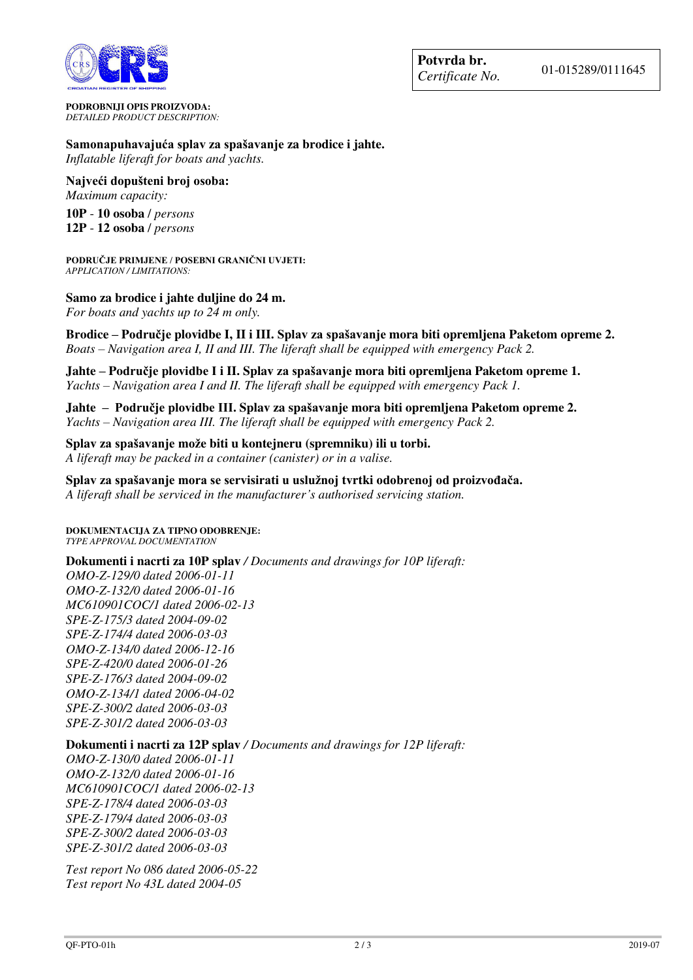

**PODROBNIJI OPIS PROIZVODA:** *DETAILED PRODUCT DESCRIPTION:* 

### **Samonapuhavajuća splav za spašavanje za brodice i jahte.**  *Inflatable liferaft for boats and yachts.*

**Najveći dopušteni broj osoba:** 

*Maximum capacity:*  **10P** - **10 osoba** / *persons*

**12P** - **12 osoba** / *persons*

**PODRUČJE PRIMJENE / POSEBNI GRANIČNI UVJETI:** *APPLICATION / LIMITATIONS:* 

### **Samo za brodice i jahte duljine do 24 m.**

*For boats and yachts up to 24 m only.* 

**Brodice – Područje plovidbe I, II i III. Splav za spašavanje mora biti opremljena Paketom opreme 2.**  *Boats – Navigation area I, II and III. The liferaft shall be equipped with emergency Pack 2.* 

**Jahte – Područje plovidbe I i II. Splav za spašavanje mora biti opremljena Paketom opreme 1.**  *Yachts – Navigation area I and II. The liferaft shall be equipped with emergency Pack 1.*

**Jahte – Područje plovidbe III. Splav za spašavanje mora biti opremljena Paketom opreme 2.**  *Yachts – Navigation area III. The liferaft shall be equipped with emergency Pack 2.* 

**Splav za spašavanje može biti u kontejneru (spremniku) ili u torbi.**  *A liferaft may be packed in a container (canister) or in a valise.*

**Splav za spašavanje mora se servisirati u uslužnoj tvrtki odobrenoj od proizvođača.**

*A liferaft shall be serviced in the manufacturer's authorised servicing station.*

**DOKUMENTACIJA ZA TIPNO ODOBRENJE:** *TYPE APPROVAL DOCUMENTATION*

### **Dokumenti i nacrti za 10P splav** */ Documents and drawings for 10P liferaft:*

*OMO-Z-129/0 dated 2006-01-11 OMO-Z-132/0 dated 2006-01-16 MC610901COC/1 dated 2006-02-13 SPE-Z-175/3 dated 2004-09-02 SPE-Z-174/4 dated 2006-03-03 OMO-Z-134/0 dated 2006-12-16 SPE-Z-420/0 dated 2006-01-26 SPE-Z-176/3 dated 2004-09-02 OMO-Z-134/1 dated 2006-04-02 SPE-Z-300/2 dated 2006-03-03 SPE-Z-301/2 dated 2006-03-03* 

### **Dokumenti i nacrti za 12P splav** */ Documents and drawings for 12P liferaft:*

*OMO-Z-130/0 dated 2006-01-11 OMO-Z-132/0 dated 2006-01-16 MC610901COC/1 dated 2006-02-13 SPE-Z-178/4 dated 2006-03-03 SPE-Z-179/4 dated 2006-03-03 SPE-Z-300/2 dated 2006-03-03 SPE-Z-301/2 dated 2006-03-03* 

*Test report No 086 dated 2006-05-22 Test report No 43L dated 2004-05*